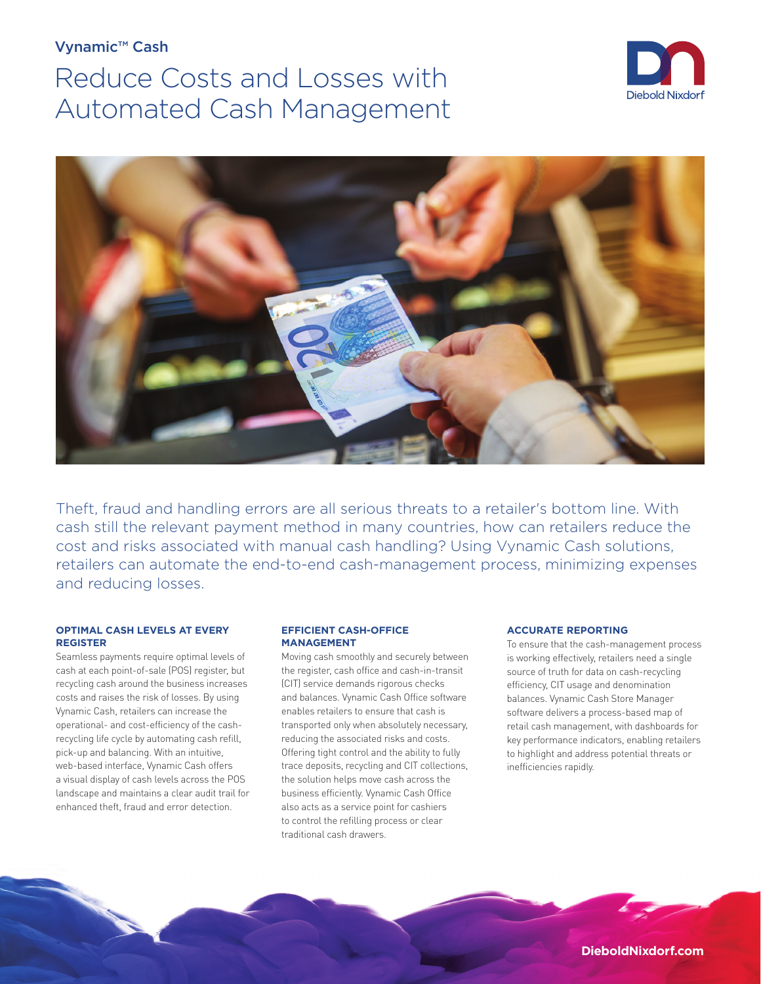# Vynamic™ Cash

# Reduce Costs and Losses with Automated Cash Management





Theft, fraud and handling errors are all serious threats to a retailer's bottom line. With cash still the relevant payment method in many countries, how can retailers reduce the cost and risks associated with manual cash handling? Using Vynamic Cash solutions, retailers can automate the end-to-end cash-management process, minimizing expenses and reducing losses.

# **OPTIMAL CASH LEVELS AT EVERY REGISTER**

Seamless payments require optimal levels of cash at each point-of-sale (POS) register, but recycling cash around the business increases costs and raises the risk of losses. By using Vynamic Cash, retailers can increase the operational- and cost-efficiency of the cashrecycling life cycle by automating cash refill, pick-up and balancing. With an intuitive, web-based interface, Vynamic Cash offers a visual display of cash levels across the POS landscape and maintains a clear audit trail for enhanced theft, fraud and error detection.

#### **EFFICIENT CASH-OFFICE MANAGEMENT**

Moving cash smoothly and securely between the register, cash office and cash-in-transit (CIT) service demands rigorous checks and balances. Vynamic Cash Office software enables retailers to ensure that cash is transported only when absolutely necessary, reducing the associated risks and costs. Offering tight control and the ability to fully trace deposits, recycling and CIT collections, the solution helps move cash across the business efficiently. Vynamic Cash Office also acts as a service point for cashiers to control the refilling process or clear traditional cash drawers.

# **ACCURATE REPORTING**

To ensure that the cash-management process is working effectively, retailers need a single source of truth for data on cash-recycling efficiency, CIT usage and denomination balances. Vynamic Cash Store Manager software delivers a process-based map of retail cash management, with dashboards for key performance indicators, enabling retailers to highlight and address potential threats or inefficiencies rapidly.